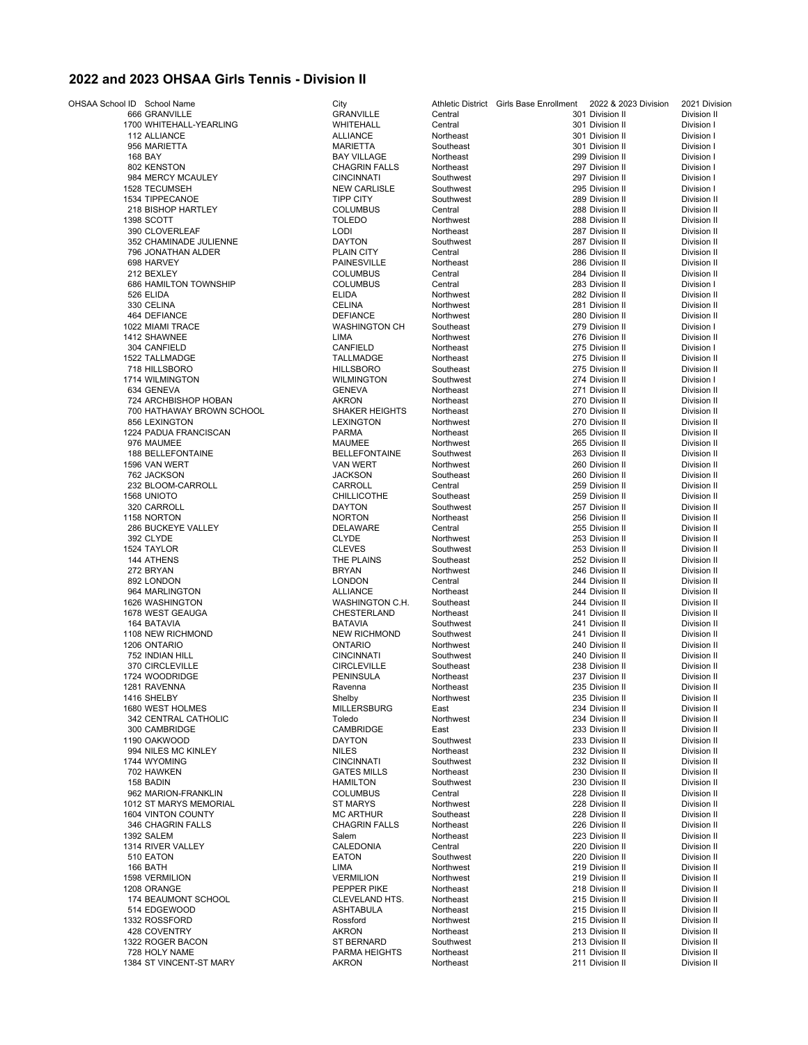## **2022 and 2023 OHSAA Girls Tennis - Division II**

| OHSAA School ID School Name |                                  | City                         |                        | Athletic District Girls Base Enrollment | 2022 & 2023 Division               | 2021 Division              |
|-----------------------------|----------------------------------|------------------------------|------------------------|-----------------------------------------|------------------------------------|----------------------------|
|                             | 666 GRANVILLE                    | <b>GRANVILLE</b>             | Central                |                                         | 301 Division II                    | Division II                |
|                             | 1700 WHITEHALL-YEARLING          | WHITEHALL                    | Central                |                                         | 301 Division II                    | Division I                 |
|                             | 112 ALLIANCE                     | <b>ALLIANCE</b>              | Northeast              |                                         | 301 Division II                    | Division I                 |
|                             | 956 MARIETTA                     | <b>MARIETTA</b>              | Southeast              |                                         | 301 Division II                    | Division I                 |
|                             | 168 BAY                          | <b>BAY VILLAGE</b>           | Northeast              |                                         | 299 Division II                    | Division I                 |
|                             | 802 KENSTON                      | <b>CHAGRIN FALLS</b>         | Northeast              |                                         | 297 Division II                    | Division I                 |
|                             | 984 MERCY MCAULEY                | <b>CINCINNATI</b>            | Southwest              |                                         | 297 Division II                    | Division I                 |
|                             | 1528 TECUMSEH                    | <b>NEW CARLISLE</b>          | Southwest              |                                         | 295 Division II                    | Division I                 |
|                             | 1534 TIPPECANOE                  | <b>TIPP CITY</b>             | Southwest              |                                         | 289 Division II                    | Division II                |
|                             | 218 BISHOP HARTLEY               | <b>COLUMBUS</b>              | Central                |                                         | 288 Division II                    | Division II                |
|                             | 1398 SCOTT<br>390 CLOVERLEAF     | <b>TOLEDO</b>                | Northwest<br>Northeast |                                         | 288 Division II                    | Division II                |
|                             |                                  | <b>LODI</b><br><b>DAYTON</b> | Southwest              |                                         | 287 Division II<br>287 Division II | Division II                |
|                             | 352 CHAMINADE JULIENNE           | <b>PLAIN CITY</b>            | Central                |                                         | 286 Division II                    | Division II<br>Division II |
|                             | 796 JONATHAN ALDER<br>698 HARVEY | <b>PAINESVILLE</b>           | Northeast              |                                         | 286 Division II                    | Division II                |
|                             | 212 BEXLEY                       | <b>COLUMBUS</b>              | Central                |                                         | 284 Division II                    | Division II                |
|                             | 686 HAMILTON TOWNSHIP            | <b>COLUMBUS</b>              | Central                |                                         | 283 Division II                    | Division I                 |
|                             | 526 ELIDA                        | <b>ELIDA</b>                 | Northwest              |                                         | 282 Division II                    | Division II                |
|                             | 330 CELINA                       | <b>CELINA</b>                | Northwest              |                                         | 281 Division II                    | Division II                |
|                             | 464 DEFIANCE                     | <b>DEFIANCE</b>              | Northwest              |                                         | 280 Division II                    | Division II                |
|                             | 1022 MIAMI TRACE                 | <b>WASHINGTON CH</b>         | Southeast              |                                         | 279 Division II                    | Division I                 |
|                             | 1412 SHAWNEE                     | LIMA                         | Northwest              |                                         | 276 Division II                    | Division II                |
|                             | 304 CANFIELD                     | CANFIELD                     | Northeast              |                                         | 275 Division II                    | Division I                 |
|                             | 1522 TALLMADGE                   | <b>TALLMADGE</b>             | Northeast              |                                         | 275 Division II                    | Division II                |
|                             | 718 HILLSBORO                    | <b>HILLSBORO</b>             | Southeast              |                                         | 275 Division II                    | Division II                |
|                             | 1714 WILMINGTON                  | <b>WILMINGTON</b>            | Southwest              |                                         | 274 Division II                    | Division I                 |
|                             | 634 GENEVA                       | <b>GENEVA</b>                | Northeast              |                                         | 271 Division II                    | Division II                |
|                             | 724 ARCHBISHOP HOBAN             | AKRON                        | Northeast              |                                         | 270 Division II                    | Division II                |
|                             | 700 HATHAWAY BROWN SCHOOL        | <b>SHAKER HEIGHTS</b>        | Northeast              |                                         | 270 Division II                    | Division II                |
|                             | 856 LEXINGTON                    | <b>LEXINGTON</b>             | Northwest              |                                         | 270 Division II                    | Division II                |
|                             | 1224 PADUA FRANCISCAN            | <b>PARMA</b>                 | Northeast              |                                         | 265 Division II                    | Division II                |
|                             | 976 MAUMEE                       | MAUMEE                       | Northwest              |                                         | 265 Division II                    | Division II                |
|                             | 188 BELLEFONTAINE                | <b>BELLEFONTAINE</b>         | Southwest              |                                         | 263 Division II                    | Division II                |
|                             | 1596 VAN WERT                    | <b>VAN WERT</b>              | Northwest              |                                         | 260 Division II                    | Division II                |
|                             | 762 JACKSON                      | <b>JACKSON</b>               | Southeast              |                                         | 260 Division II                    | Division II                |
|                             | 232 BLOOM-CARROLL                | CARROLL                      | Central                |                                         | 259 Division II                    | Division II                |
|                             | 1568 UNIOTO                      | <b>CHILLICOTHE</b>           | Southeast              |                                         | 259 Division II                    | Division II                |
|                             | 320 CARROLL                      | <b>DAYTON</b>                | Southwest              |                                         | 257 Division II                    | Division II                |
|                             | 1158 NORTON                      | <b>NORTON</b>                | Northeast              |                                         | 256 Division II                    | Division II                |
|                             | 286 BUCKEYE VALLEY               | <b>DELAWARE</b>              | Central                |                                         | 255 Division II                    | Division II                |
|                             | 392 CLYDE                        | <b>CLYDE</b>                 | Northwest              |                                         | 253 Division II                    | Division II                |
|                             | 1524 TAYLOR                      | <b>CLEVES</b>                | Southwest              |                                         | 253 Division II                    | Division II                |
|                             | 144 ATHENS                       | THE PLAINS<br><b>BRYAN</b>   | Southeast              |                                         | 252 Division II<br>246 Division II | Division II                |
|                             | 272 BRYAN                        | <b>LONDON</b>                | Northwest<br>Central   |                                         | 244 Division II                    | Division II<br>Division II |
|                             | 892 LONDON<br>964 MARLINGTON     | <b>ALLIANCE</b>              | Northeast              |                                         | 244 Division II                    | Division II                |
|                             | 1626 WASHINGTON                  | WASHINGTON C.H.              | Southeast              |                                         | 244 Division II                    | Division II                |
|                             | 1678 WEST GEAUGA                 | CHESTERLAND                  | Northeast              |                                         | 241 Division II                    | Division II                |
|                             | 164 BATAVIA                      | <b>BATAVIA</b>               | Southwest              |                                         | 241 Division II                    | Division II                |
|                             | 1108 NEW RICHMOND                | <b>NEW RICHMOND</b>          | Southwest              |                                         | 241 Division II                    | Division II                |
|                             | 1206 ONTARIO                     | <b>ONTARIO</b>               | Northwest              |                                         | 240 Division II                    | Division II                |
|                             | 752 INDIAN HILL                  | <b>CINCINNATI</b>            | Southwest              |                                         | 240 Division II                    | Division II                |
|                             | 370 CIRCLEVILLE                  | <b>CIRCLEVILLE</b>           | Southeast              |                                         | 238 Division II                    | Division II                |
|                             | 1724 WOODRIDGE                   | PENINSULA                    | Northeast              |                                         | 237 Division II                    | Division II                |
|                             | 1281 RAVENNA                     | Ravenna                      | Northeast              |                                         | 235 Division II                    | Division II                |
|                             | 1416 SHELBY                      | Shelby                       | Northwest              |                                         | 235 Division II                    | Division II                |
|                             | 1680 WEST HOLMES                 | <b>MILLERSBURG</b>           | East                   |                                         | 234 Division II                    | Division II                |
|                             | 342 CENTRAL CATHOLIC             | Toledo                       | Northwest              |                                         | 234 Division II                    | Division II                |
|                             | 300 CAMBRIDGE                    | CAMBRIDGE                    | East                   |                                         | 233 Division II                    | Division II                |
|                             | 1190 OAKWOOD                     | <b>DAYTON</b>                | Southwest              |                                         | 233 Division II                    | Division II                |
|                             | 994 NILES MC KINLEY              | <b>NILES</b>                 | Northeast              |                                         | 232 Division II                    | Division II                |
|                             | 1744 WYOMING                     | <b>CINCINNATI</b>            | Southwest              |                                         | 232 Division II                    | Division II                |
|                             | 702 HAWKEN                       | <b>GATES MILLS</b>           | Northeast              |                                         | 230 Division II                    | Division II                |
|                             | 158 BADIN                        | <b>HAMILTON</b>              | Southwest              |                                         | 230 Division II                    | Division II                |
|                             | 962 MARION-FRANKLIN              | <b>COLUMBUS</b>              | Central                |                                         | 228 Division II                    | Division II                |
|                             | 1012 ST MARYS MEMORIAL           | ST MARYS                     | Northwest              |                                         | 228 Division II                    | Division II                |
|                             | 1604 VINTON COUNTY               | <b>MC ARTHUR</b>             | Southeast              |                                         | 228 Division II                    | Division II                |
|                             | 346 CHAGRIN FALLS                | <b>CHAGRIN FALLS</b>         | Northeast              |                                         | 226 Division II                    | Division II                |
|                             | 1392 SALEM                       | Salem                        | Northeast              |                                         | 223 Division II                    | Division II                |
|                             | 1314 RIVER VALLEY<br>510 EATON   | CALEDONIA<br><b>EATON</b>    | Central<br>Southwest   |                                         | 220 Division II<br>220 Division II | Division II<br>Division II |
|                             | 166 BATH                         | LIMA                         | Northwest              |                                         | 219 Division II                    | Division II                |
|                             | 1598 VERMILION                   | <b>VERMILION</b>             | Northwest              |                                         | 219 Division II                    | Division II                |
|                             | 1208 ORANGE                      | PEPPER PIKE                  | Northeast              |                                         | 218 Division II                    | Division II                |
|                             | 174 BEAUMONT SCHOOL              | CLEVELAND HTS.               | Northeast              |                                         | 215 Division II                    | Division II                |
|                             | 514 EDGEWOOD                     | ASHTABULA                    | Northeast              |                                         | 215 Division II                    | Division II                |
|                             | 1332 ROSSFORD                    | Rossford                     | Northwest              |                                         | 215 Division II                    | Division II                |
|                             | 428 COVENTRY                     | <b>AKRON</b>                 | Northeast              |                                         | 213 Division II                    | Division II                |
|                             | 1322 ROGER BACON                 | <b>ST BERNARD</b>            | Southwest              |                                         | 213 Division II                    | Division II                |
|                             | 728 HOLY NAME                    | PARMA HEIGHTS                | Northeast              |                                         | 211 Division II                    | Division II                |
|                             | 1384 ST VINCENT-ST MARY          | <b>AKRON</b>                 | Northeast              |                                         | 211 Division II                    | Division II                |
|                             |                                  |                              |                        |                                         |                                    |                            |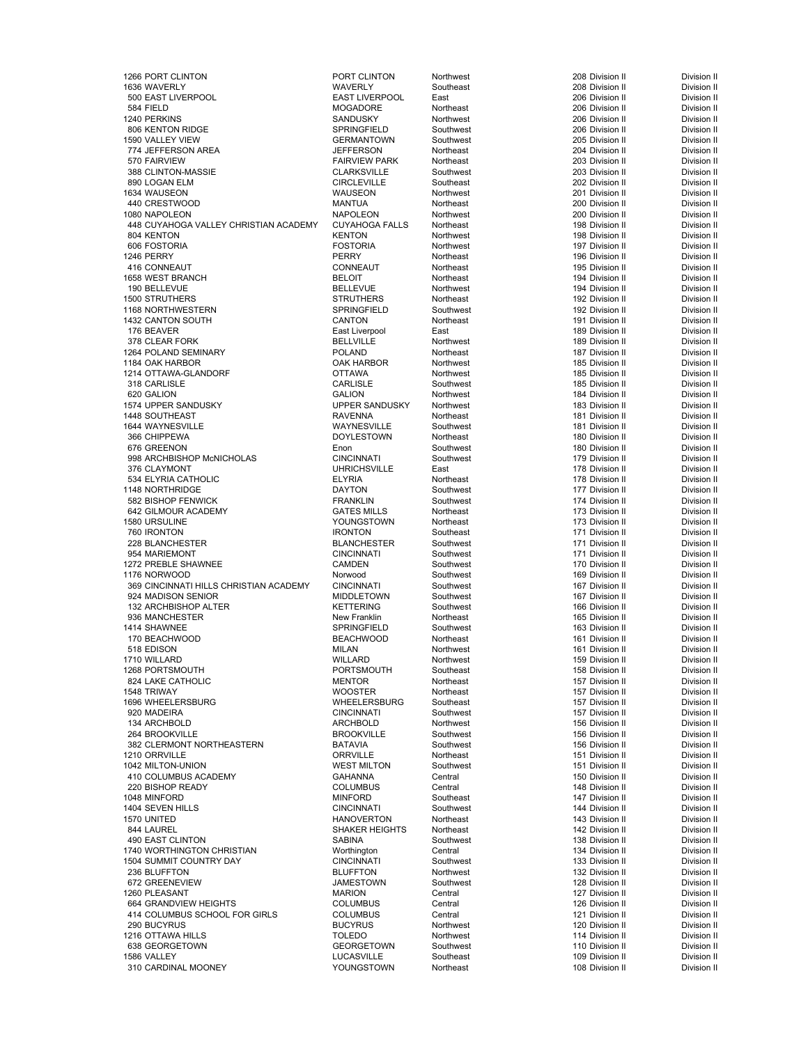اتات التي توسع التي توسع التي يوم التي يوم التي توسع التي يوم التي يوم التي يوم التي يوم التي يوم التي يوم الت<br>1636 WAVERLY 1636 WAVERLY Southeast 1636 WAVERLY 208 Division II Division II 1636 WAVERLY WAVERLY Southeast 208 Division II Division II 500 EAST LIVERPOOL EAST LIVERPOOL East 206 Division II Division II 584 FIELD MOGADORE Northeast 206 Division II Division II 1240 PERKINS SANDUSKY Northwest 206 Division II Division II er and the Spring Politics Southwest 1980 KENTON RIDGE Division II Division II Division II Division II Division<br>IN S90 VALLEY VIEW Division II Division II Division II Division II Division II Division II 1590 VALLEY VIEW GERMANTOWN Southwest 205 Division II Division II 774 JEFFERSON AREA JEFFERSON Northeast 204 Division II Division II 388 CLINTON-MASSIE CLARKSVILLE CLARKSVILLE SOUTHWEST 203 DIVISION IN DIVISION IN DIVISION IN DIVISION IN DIVIS<br>CIRCLEVILLE 890 LOGAN ELM CIRCLEVILLE Southeast 202 Division II Division II 1634 WAUSEON WAUSEON Northwest 201 Division II Division II 440 CRESTWOOD MANTUA Northeast 200 Division II Division II 1080 NAPOLEON NAPOLEON Northwest 200 Division II Division II 448 CUYAHOGA VALLEY CHRISTIAN ACADEMY CUYAHOGA FALLS Northeast 198 Division II Division II 804 KENTON KENTON Northwest 198 Division II Division II 606 FOSTORIA FOSTORIA Northwest 197 Division II Division II 1246 PERRY PERRY PERRY Northeast Communication II Division II Division II 416 CONNEAUT CONNEAUT Northeast 195 Division II Division II 1658 WEST BRANCH BELOIT Northeast 194 Division II Division II 190 BELLEVUE BELLEVUE Northwest 194 Division II Division II 1500 STRUTHERS Northeast Northeast Northeast 192 Division II Division II Division II eral Southwest Spring and the Southwest of the Southwest of the Southwest of the Southwest of the Southwest of the Southwest of the Southwest of the Southwest of the Southwest of the Southwest of the Southwest of the South 1432 CANTON SOUTH CANTON Northeast 191 Division II Division II 176 BEAVER East Liverpool East 189 Division II Division II 378 CLEAR FORK **BELLVILLE** Northwest 189 Division II Division II Division II اتات التي توسع العربية التي توسع المعاشرة التي توسع المعلم التي تعليم المعلم التي تعليم التي يتم التي يتم التي<br>1184 OAK HARBOR Northwest 185 Division II Division II Division II the top of the Division II on the South Art of the OAK HARBOR Northwest the South 185 Division II Division II<br>1214 OTTAWA-GLANDORF CONSTRUCT ON THE OTTAWA Northwest the South 185 Division II Division II 1214 OTTAWA-GLANDORF OTTAWA Northwest 185 Division II Division II 318 CARLISLE CARLISLE Southwest 185 Division II Division II 620 GALION GALION Northwest 184 Division II Division II the 1574 UPPER SANDUSKY UPPER SANDUSKY Northwest 183 Division II Division II Division II Division II Division<br>1448 SOUTHEAST Division II Division II RAVENNA Northeast 181 Division II Division II 1448 SOUTHEAST Northeast RAVENNA Northeast 2013 181 Division II Division II Division II 1644 WAYNESVILLE WAYNESVILLE Southwest 181 Division II Division II 366 CHIPPEWA DOYLESTOWN Northeast 180 Division II Division II 676 GREENON Enon Southwest 180 Division II Division II 999 BTO CREENON CONCIDENT CHOROGOTY CONTROLLER IN SOUTHWEST AND A CINCINNATI SOUTHWEST ARE INTERNATION OF THE<br>1998 ARCHBISHOP McNICHOLAS CINCINNATI Southwest 179 Division II Division II 376 CLAYMONT UHRICHSVILLE East 178 Division II Division II 534 ELYRIA CATHOLIC **ELYRIA** ELYRIA Northeast 178 Division II Division II Division II 1148 NORTHRIDGE DAYTON Southwest 177 Division II Division II 582 BISHOP FENWICK **FRANKLIN** Southwest 174 Division II Division II Division II 642 GILMOUR ACADEMY GATES MILLS Northeast 173 Division II Division II 1580 URSULINE YOUNGSTOWN Northeast 173 Division II Division II 760 IRONTON 171 Division II Division II Division II Division II Division II Division II 228 BLANCHESTER BLANCHESTER Southwest 171 Division II Division II 954 MARIEMONT CINCINNATI Southwest 171 Division II Division II er and the SHAWNEE CAMDEN Southwest 170 Division II Division II Division II Division II Division II Division I<br>1176 NORWOOD Division II Division II Division II Division II Division II Division II 1176 NORWOOD Norwood Southwest 169 Division II Division II 369 CINCINNATI HILLS CHRISTIAN ACADEMY CINCINNATI Southwest 167 Division II Division II Division II Division I<br>167 Division II Division II Division II Division II Division II er and the MIDDLETOWN Southwest 167 Division II Division II Division II Division II Division II Division II Division II Division II Division II Division II Division II Division II Division II Division II Division II Divisi 132 ARCHBISHOP ALTER 1992 CONTRIBUTION CONTRIBUTION ACTES AND SOUTHWEST ACTES AND SUIT AND SUIT AND SUIT AND SU<br>1936 MANCHESTER 1996 TRIM SUIT AND SUIT AND SUIT AND SUIT AND SUIT AND SUIT AND SUIT AND DIVISION II 936 MANCHESTER New Franklin New Franklin Northeast 1414<br>1414 SHAWNEE 165 DIVISION IN DIVISION IN DIVISION IN DIVISION IN DIVISION IN DIVISION IN DIVISION IN DIVISION 1414 SHAWNEE **SPRINGFIELD Southwest 163 Division II** Division II Division II 170 BEACHWOOD BEACHWOOD Northeast 161 Division II Division II 518 EDISON MILAN Northwest 161 Division II Division II 1710 WILLARD WILLARD Northwest 159 Division II Division II 1268 PORTSMOUTH PORTSMOUTH Southeast 158 Division II Division II 824 LAKE CATHOLIC **Alternative Contract Contract Contract Contract Contract Contract Contract Contract Contract Contract Contract Contract Contract Contract Contract Contract Contract Contract Contract Contract Contract Co** 1548 TRIWAY Northeast Northeast 157 Division II Division II Division II Division II 1696 WHEELERSBURG WHEELERSBURG Southeast 157 Division II Division II 920 MADEIRA CINCINNATI Southwest 157 Division II Division II 134 ARCHBOLD ARCHBOLD Northwest 156 Division II Division II 264 BROOKVILLE BROOKVILLE Southwest 156 Division II Division II 382 CLERMONT NORTHEASTERN BATAVIA Southwest 156 Division II Division II 1210 ORRVILLE **1210 ORRVILLE CORRVILLE Northeast 151 Division II** Division II Division II 1042 MILTON-UNION WEST MILTON Southwest 151 Division II Division II 410 COLUMBUS ACADEMY GAHANNA Central 150 Division II Division II 220 BISHOP READY COLUMBUS Central 148 Division II Division II 1048 MINFORD MINFORD Southeast 147 Division II Division II الاوات المسلمة (CINCINNATI Southwest 1404 SEVEN HILLS Division II Division II<br>1570 UNITED المنافس HANOVERTON Northeast 143 Division II Division II 1570 UNITED HANOVERTON Northeast 143 Division II Division II 490 EAST CLINTON CHRISTIAN SABINA SABINA Southwest 138 Division II Division II Division II<br>1740 WORTHINGTON CHRISTIAN States of Morthington Central Central 134 Division II Division II n 1740 WORTHINGTON CHRISTIAN MOTHINGTON MOTHINGTON Central Contral 134 Division II Division II Division II Div<br>1504 SUMMIT COUNTRY DAY NEW CONCINNATI Southwest 133 Division II Division II 1504 SUMMIT COUNTRY DAY CINCINNATI Southwest 133 Division II Division II 236 BLUFFTON BLUFFTON Northwest 132 Division II Division II 672 GREENEVIEW JAMESTOWN Southwest 128 Division II Division II 1260 PLEASANT MARION Central 127 Division II Division II 664 GRANDVIEW HEIGHTS COLUMBUS Central 126 Division II Division II 414 COLUMBUS SCHOOL FOR GIRLS 290 BUCYRUS BUCYRUS Northwest 120 Division II Division II 1216 OTTAWA HILLS TOLEDO Northwest 114 Division II Division II 638 GEORGETOWN CEORGETOWN Southwest 110 Division II Division II 1586 VALLEY LUCASVILLE Southeast 109 Division II Division II 310 CARDINAL MOONEY **108 Division II** 2010 CARDINAL MOONEY 108 Division II Division II

FAIRVIEW PARK Northeast 203 Division II Division II Division II<br>CLARKSVILLE Southwest 203 Division II Division II SHAKER HEIGHTS Northeast 142 Division II Division II Division II<br>SABINA Southwest 138 Division II Division II